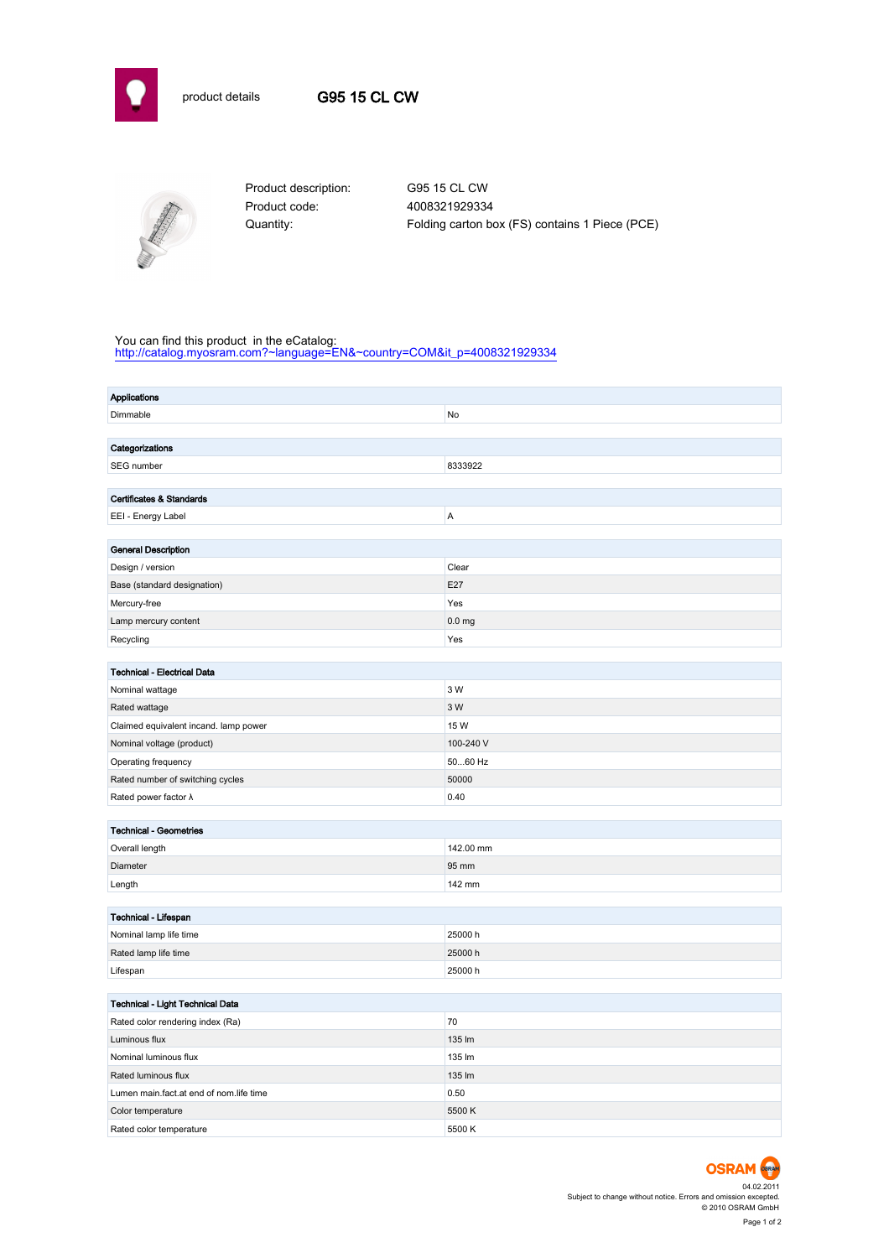



Product code: 4008321929334

Product description: G95 15 CL CW Quantity: Folding carton box (FS) contains 1 Piece (PCE)

## You can find this product in the eCatalog:

[http://catalog.myosram.com?~language=EN&~country=COM&it\\_p=4008321929334](http://catalog.myosram.com?~language=EN&~country=COM&it_p=4008321929334)

| <b>Applications</b>                     |                   |  |  |  |
|-----------------------------------------|-------------------|--|--|--|
| Dimmable                                | No                |  |  |  |
|                                         |                   |  |  |  |
| Categorizations                         |                   |  |  |  |
| SEG number                              | 8333922           |  |  |  |
|                                         |                   |  |  |  |
| Certificates & Standards                |                   |  |  |  |
| EEI - Energy Label                      | A                 |  |  |  |
|                                         |                   |  |  |  |
| <b>General Description</b>              |                   |  |  |  |
| Design / version                        | Clear             |  |  |  |
| Base (standard designation)             | E27               |  |  |  |
| Mercury-free                            | Yes               |  |  |  |
| Lamp mercury content                    | 0.0 <sub>mg</sub> |  |  |  |
| Recycling                               | Yes               |  |  |  |
|                                         |                   |  |  |  |
| Technical - Electrical Data             | 3 W               |  |  |  |
| Nominal wattage                         |                   |  |  |  |
| Rated wattage                           | 3 W               |  |  |  |
| Claimed equivalent incand. lamp power   | 15 W              |  |  |  |
| Nominal voltage (product)               | 100-240 V         |  |  |  |
| Operating frequency                     | 5060 Hz           |  |  |  |
| Rated number of switching cycles        | 50000             |  |  |  |
| Rated power factor $\lambda$            | 0.40              |  |  |  |
| <b>Technical - Geometries</b>           |                   |  |  |  |
| Overall length                          | 142.00 mm         |  |  |  |
| Diameter                                | 95 mm             |  |  |  |
| Length                                  | 142 mm            |  |  |  |
|                                         |                   |  |  |  |
| Technical - Lifespan                    |                   |  |  |  |
| Nominal lamp life time                  | 25000 h           |  |  |  |
| Rated lamp life time                    | 25000h            |  |  |  |
| Lifespan                                | 25000 h           |  |  |  |
|                                         |                   |  |  |  |
| Technical - Light Technical Data        |                   |  |  |  |
| Rated color rendering index (Ra)        | 70                |  |  |  |
| Luminous flux                           | 135 lm            |  |  |  |
| Nominal luminous flux                   | 135 lm            |  |  |  |
| Rated luminous flux                     | 135 lm            |  |  |  |
| Lumen main.fact.at end of nom.life time | 0.50              |  |  |  |
| Color temperature                       | 5500K             |  |  |  |
| Rated color temperature                 | 5500 K            |  |  |  |

04.02.2011 Subject to change without notice. Errors and omission excepted. © 2010 OSRAM GmbH Page 1 of 2

**OSRAM**